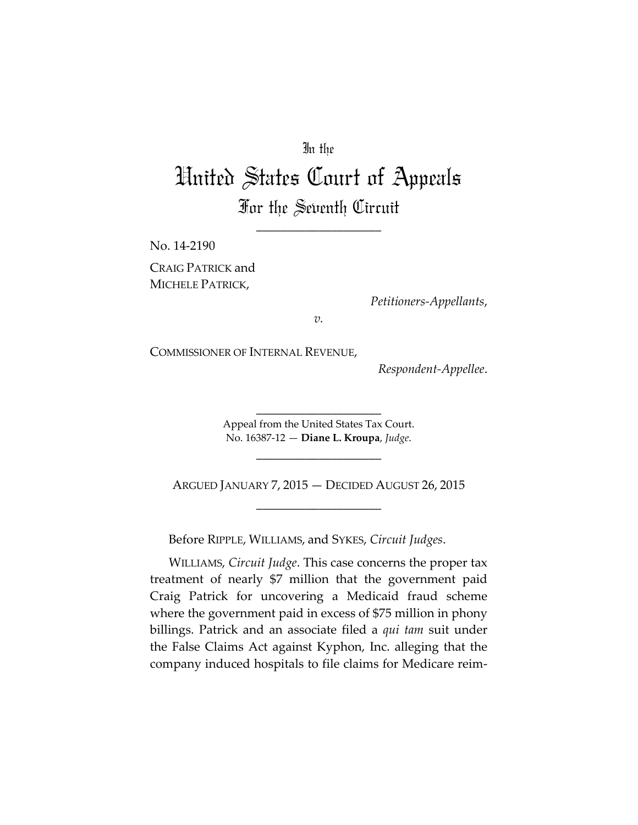# In the

# United States Court of Appeals For the Seventh Circuit

\_\_\_\_\_\_\_\_\_\_\_\_\_\_\_\_\_\_\_\_

No. 14-2190 CRAIG PATRICK and MICHELE PATRICK,

*Petitioners-Appellants*,

*v.* 

COMMISSIONER OF INTERNAL REVENUE,

*Respondent-Appellee*.

Appeal from the United States Tax Court. No. 16387-12 — **Diane L. Kroupa**, *Judge*.

\_\_\_\_\_\_\_\_\_\_\_\_\_\_\_\_\_\_\_\_

\_\_\_\_\_\_\_\_\_\_\_\_\_\_\_\_\_\_\_\_

ARGUED JANUARY 7, 2015 — DECIDED AUGUST 26, 2015 \_\_\_\_\_\_\_\_\_\_\_\_\_\_\_\_\_\_\_\_

Before RIPPLE, WILLIAMS, and SYKES, *Circuit Judges*.

WILLIAMS, *Circuit Judge*. This case concerns the proper tax treatment of nearly \$7 million that the government paid Craig Patrick for uncovering a Medicaid fraud scheme where the government paid in excess of \$75 million in phony billings. Patrick and an associate filed a *qui tam* suit under the False Claims Act against Kyphon, Inc. alleging that the company induced hospitals to file claims for Medicare reim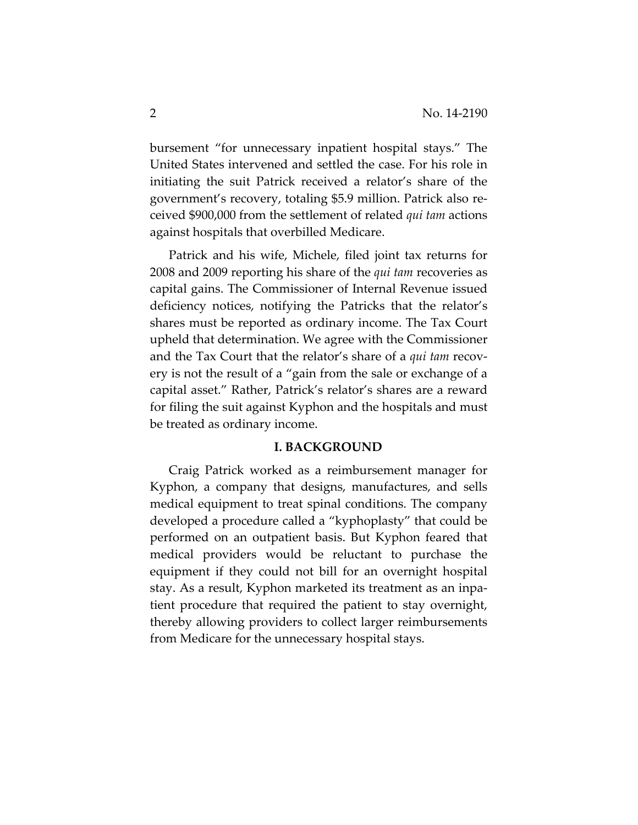bursement "for unnecessary inpatient hospital stays." The United States intervened and settled the case. For his role in initiating the suit Patrick received a relator's share of the government's recovery, totaling \$5.9 million. Patrick also received \$900,000 from the settlement of related *qui tam* actions against hospitals that overbilled Medicare.

Patrick and his wife, Michele, filed joint tax returns for 2008 and 2009 reporting his share of the *qui tam* recoveries as capital gains. The Commissioner of Internal Revenue issued deficiency notices, notifying the Patricks that the relator's shares must be reported as ordinary income. The Tax Court upheld that determination. We agree with the Commissioner and the Tax Court that the relator's share of a *qui tam* recovery is not the result of a "gain from the sale or exchange of a capital asset." Rather, Patrick's relator's shares are a reward for filing the suit against Kyphon and the hospitals and must be treated as ordinary income.

#### **I. BACKGROUND**

Craig Patrick worked as a reimbursement manager for Kyphon, a company that designs, manufactures, and sells medical equipment to treat spinal conditions. The company developed a procedure called a "kyphoplasty" that could be performed on an outpatient basis. But Kyphon feared that medical providers would be reluctant to purchase the equipment if they could not bill for an overnight hospital stay. As a result, Kyphon marketed its treatment as an inpatient procedure that required the patient to stay overnight, thereby allowing providers to collect larger reimbursements from Medicare for the unnecessary hospital stays.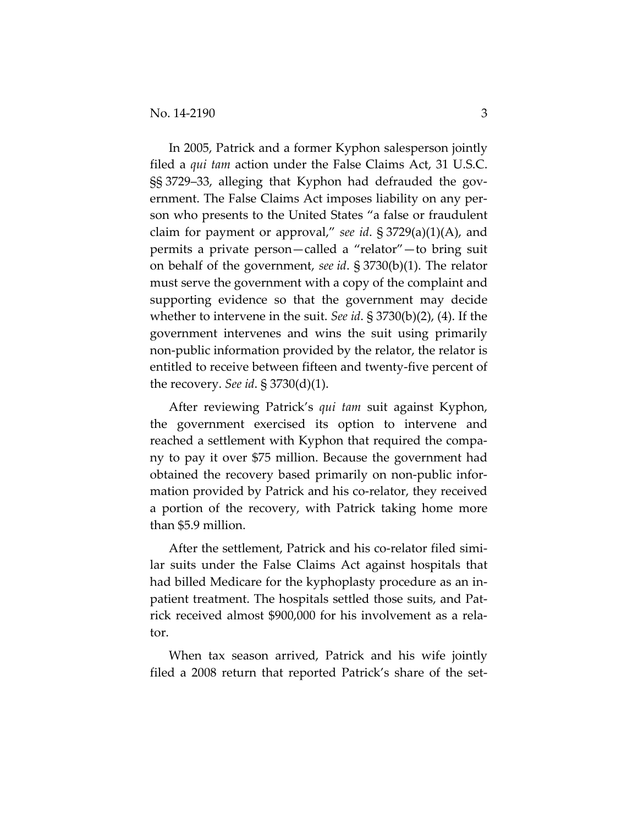In 2005, Patrick and a former Kyphon salesperson jointly filed a *qui tam* action under the False Claims Act, 31 U.S.C. §§ 3729–33, alleging that Kyphon had defrauded the government. The False Claims Act imposes liability on any person who presents to the United States "a false or fraudulent claim for payment or approval," *see id*. § 3729(a)(1)(A), and permits a private person—called a "relator"—to bring suit on behalf of the government, *see id*. § 3730(b)(1). The relator must serve the government with a copy of the complaint and supporting evidence so that the government may decide whether to intervene in the suit. *See id*. § 3730(b)(2), (4). If the government intervenes and wins the suit using primarily non-public information provided by the relator, the relator is entitled to receive between fifteen and twenty-five percent of the recovery. *See id*. § 3730(d)(1).

After reviewing Patrick's *qui tam* suit against Kyphon, the government exercised its option to intervene and reached a settlement with Kyphon that required the company to pay it over \$75 million. Because the government had obtained the recovery based primarily on non-public information provided by Patrick and his co-relator, they received a portion of the recovery, with Patrick taking home more than \$5.9 million.

After the settlement, Patrick and his co-relator filed similar suits under the False Claims Act against hospitals that had billed Medicare for the kyphoplasty procedure as an inpatient treatment. The hospitals settled those suits, and Patrick received almost \$900,000 for his involvement as a relator.

When tax season arrived, Patrick and his wife jointly filed a 2008 return that reported Patrick's share of the set-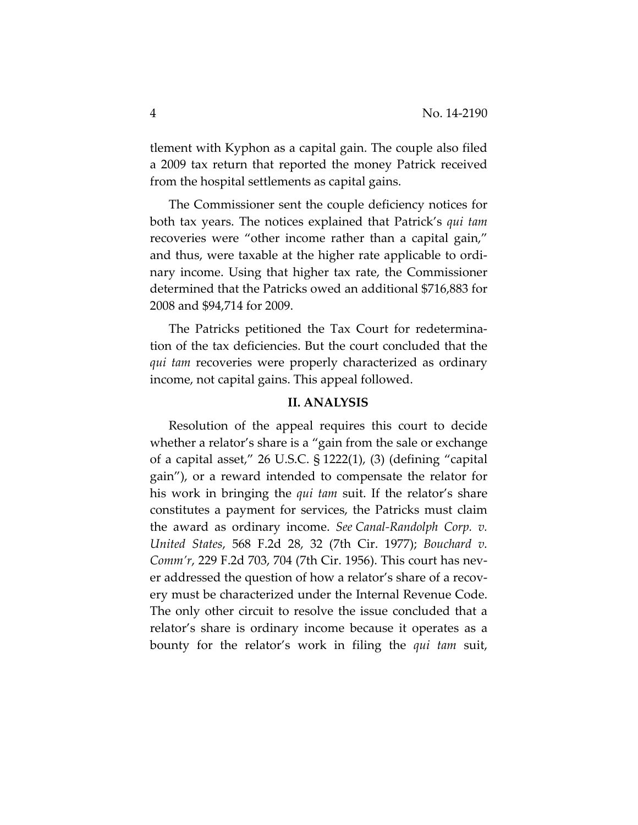tlement with Kyphon as a capital gain. The couple also filed a 2009 tax return that reported the money Patrick received from the hospital settlements as capital gains.

The Commissioner sent the couple deficiency notices for both tax years. The notices explained that Patrick's *qui tam* recoveries were "other income rather than a capital gain," and thus, were taxable at the higher rate applicable to ordinary income. Using that higher tax rate, the Commissioner determined that the Patricks owed an additional \$716,883 for 2008 and \$94,714 for 2009.

The Patricks petitioned the Tax Court for redetermination of the tax deficiencies. But the court concluded that the *qui tam* recoveries were properly characterized as ordinary income, not capital gains. This appeal followed.

### **II. ANALYSIS**

Resolution of the appeal requires this court to decide whether a relator's share is a "gain from the sale or exchange of a capital asset," 26 U.S.C. § 1222(1), (3) (defining "capital gain"), or a reward intended to compensate the relator for his work in bringing the *qui tam* suit. If the relator's share constitutes a payment for services, the Patricks must claim the award as ordinary income. *See Canal-Randolph Corp. v. United States*, 568 F.2d 28, 32 (7th Cir. 1977); *Bouchard v. Comm'r*, 229 F.2d 703, 704 (7th Cir. 1956). This court has never addressed the question of how a relator's share of a recovery must be characterized under the Internal Revenue Code. The only other circuit to resolve the issue concluded that a relator's share is ordinary income because it operates as a bounty for the relator's work in filing the *qui tam* suit,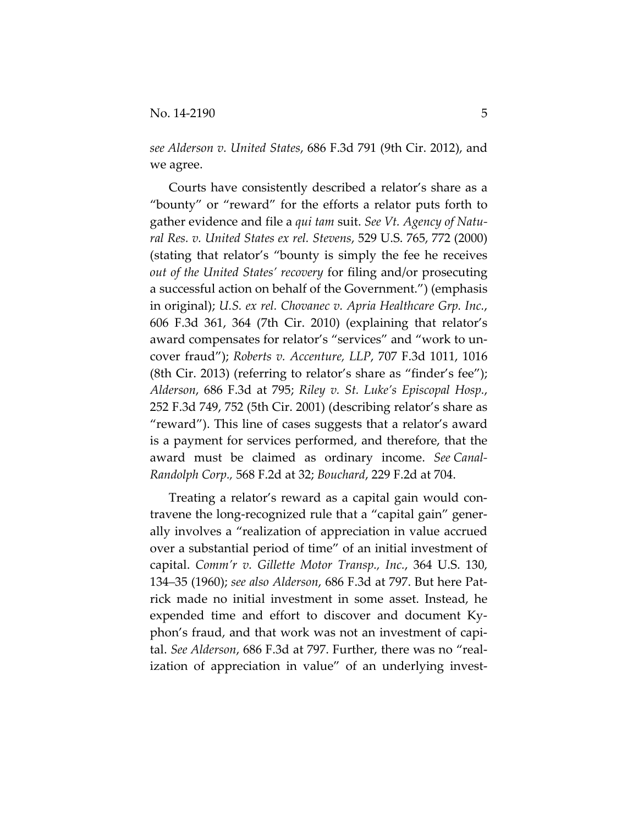*see Alderson v. United States*, 686 F.3d 791 (9th Cir. 2012), and we agree.

Courts have consistently described a relator's share as a "bounty" or "reward" for the efforts a relator puts forth to gather evidence and file a *qui tam* suit. *See Vt. Agency of Natural Res. v. United States ex rel. Stevens*, 529 U.S. 765, 772 (2000) (stating that relator's "bounty is simply the fee he receives *out of the United States' recovery* for filing and/or prosecuting a successful action on behalf of the Government.") (emphasis in original); *U.S. ex rel. Chovanec v. Apria Healthcare Grp. Inc.*, 606 F.3d 361, 364 (7th Cir. 2010) (explaining that relator's award compensates for relator's "services" and "work to uncover fraud"); *Roberts v. Accenture, LLP*, 707 F.3d 1011, 1016 (8th Cir. 2013) (referring to relator's share as "finder's fee"); *Alderson*, 686 F.3d at 795; *Riley v. St. Luke's Episcopal Hosp.*, 252 F.3d 749, 752 (5th Cir. 2001) (describing relator's share as "reward"). This line of cases suggests that a relator's award is a payment for services performed, and therefore, that the award must be claimed as ordinary income. *See Canal-Randolph Corp.,* 568 F.2d at 32; *Bouchard*, 229 F.2d at 704.

Treating a relator's reward as a capital gain would contravene the long-recognized rule that a "capital gain" generally involves a "realization of appreciation in value accrued over a substantial period of time" of an initial investment of capital. *Comm'r v. Gillette Motor Transp., Inc.*, 364 U.S. 130, 134–35 (1960); *see also Alderson*, 686 F.3d at 797. But here Patrick made no initial investment in some asset. Instead, he expended time and effort to discover and document Kyphon's fraud, and that work was not an investment of capital. *See Alderson*, 686 F.3d at 797. Further, there was no "realization of appreciation in value" of an underlying invest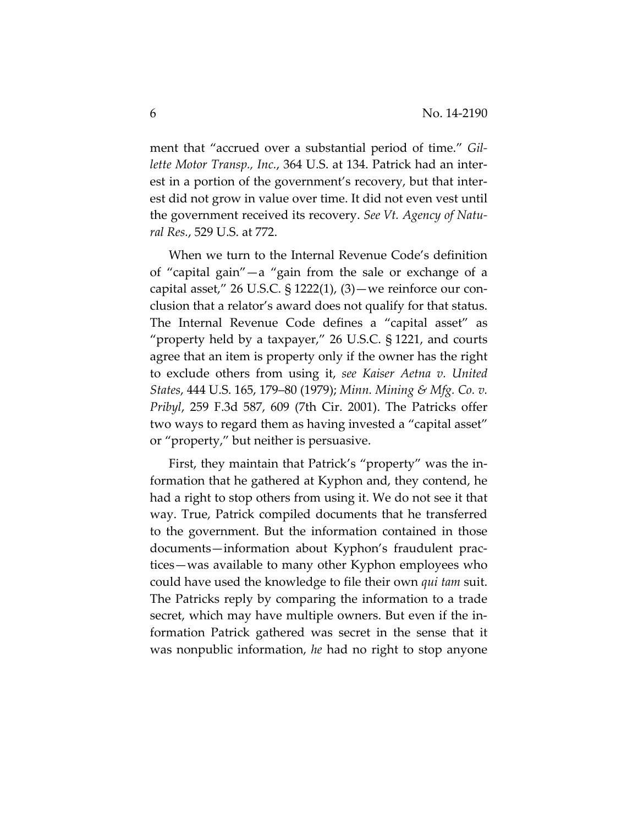ment that "accrued over a substantial period of time." *Gillette Motor Transp., Inc.*, 364 U.S. at 134. Patrick had an interest in a portion of the government's recovery, but that interest did not grow in value over time. It did not even vest until the government received its recovery. *See Vt. Agency of Natural Res.*, 529 U.S. at 772.

When we turn to the Internal Revenue Code's definition of "capital gain"—a "gain from the sale or exchange of a capital asset," 26 U.S.C.  $\S$  1222(1), (3) — we reinforce our conclusion that a relator's award does not qualify for that status. The Internal Revenue Code defines a "capital asset" as "property held by a taxpayer," 26 U.S.C. § 1221, and courts agree that an item is property only if the owner has the right to exclude others from using it, *see Kaiser Aetna v. United States*, 444 U.S. 165, 179–80 (1979); *Minn. Mining & Mfg. Co. v. Pribyl*, 259 F.3d 587, 609 (7th Cir. 2001). The Patricks offer two ways to regard them as having invested a "capital asset" or "property," but neither is persuasive.

First, they maintain that Patrick's "property" was the information that he gathered at Kyphon and, they contend, he had a right to stop others from using it. We do not see it that way. True, Patrick compiled documents that he transferred to the government. But the information contained in those documents—information about Kyphon's fraudulent practices—was available to many other Kyphon employees who could have used the knowledge to file their own *qui tam* suit. The Patricks reply by comparing the information to a trade secret, which may have multiple owners. But even if the information Patrick gathered was secret in the sense that it was nonpublic information, *he* had no right to stop anyone